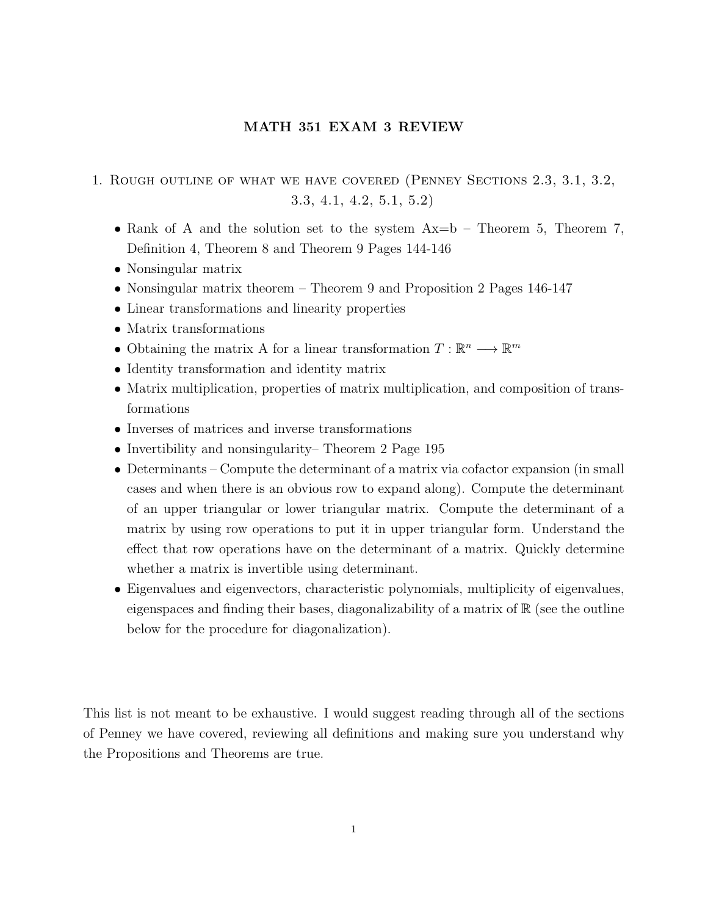## MATH 351 EXAM 3 REVIEW

- 1. Rough outline of what we have covered (Penney Sections 2.3, 3.1, 3.2, 3.3, 4.1, 4.2, 5.1, 5.2)
	- Rank of A and the solution set to the system  $Ax=b$  Theorem 5, Theorem 7, Definition 4, Theorem 8 and Theorem 9 Pages 144-146
	- Nonsingular matrix
	- Nonsingular matrix theorem Theorem 9 and Proposition 2 Pages 146-147
	- Linear transformations and linearity properties
	- Matrix transformations
	- Obtaining the matrix A for a linear transformation  $T: \mathbb{R}^n \longrightarrow \mathbb{R}^m$
	- Identity transformation and identity matrix
	- Matrix multiplication, properties of matrix multiplication, and composition of transformations
	- Inverses of matrices and inverse transformations
	- Invertibility and nonsingularity–Theorem 2 Page 195
	- Determinants Compute the determinant of a matrix via cofactor expansion (in small cases and when there is an obvious row to expand along). Compute the determinant of an upper triangular or lower triangular matrix. Compute the determinant of a matrix by using row operations to put it in upper triangular form. Understand the effect that row operations have on the determinant of a matrix. Quickly determine whether a matrix is invertible using determinant.
	- Eigenvalues and eigenvectors, characteristic polynomials, multiplicity of eigenvalues, eigenspaces and finding their bases, diagonalizability of a matrix of  $\mathbb R$  (see the outline below for the procedure for diagonalization).

This list is not meant to be exhaustive. I would suggest reading through all of the sections of Penney we have covered, reviewing all definitions and making sure you understand why the Propositions and Theorems are true.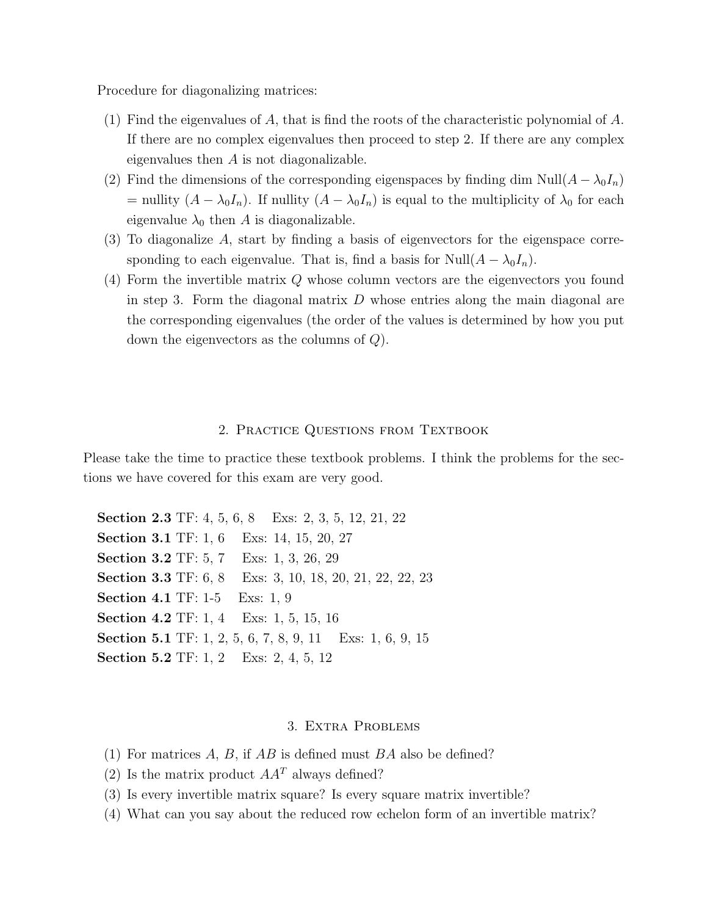Procedure for diagonalizing matrices:

- (1) Find the eigenvalues of A, that is find the roots of the characteristic polynomial of  $A$ . If there are no complex eigenvalues then proceed to step 2. If there are any complex eigenvalues then A is not diagonalizable.
- (2) Find the dimensions of the corresponding eigenspaces by finding dim Null( $A \lambda_0 I_n$ ) = nullity  $(A - \lambda_0 I_n)$ . If nullity  $(A - \lambda_0 I_n)$  is equal to the multiplicity of  $\lambda_0$  for each eigenvalue  $\lambda_0$  then A is diagonalizable.
- (3) To diagonalize A, start by finding a basis of eigenvectors for the eigenspace corresponding to each eigenvalue. That is, find a basis for Null $(A - \lambda_0 I_n)$ .
- (4) Form the invertible matrix Q whose column vectors are the eigenvectors you found in step 3. Form the diagonal matrix  $D$  whose entries along the main diagonal are the corresponding eigenvalues (the order of the values is determined by how you put down the eigenvectors as the columns of Q).

## 2. PRACTICE QUESTIONS FROM TEXTBOOK

Please take the time to practice these textbook problems. I think the problems for the sections we have covered for this exam are very good.

Section 2.3 TF: 4, 5, 6, 8 Exs: 2, 3, 5, 12, 21, 22 Section 3.1 TF: 1, 6 Exs: 14, 15, 20, 27 Section 3.2 TF: 5, 7 Exs: 1, 3, 26, 29 Section 3.3 TF: 6, 8 Exs: 3, 10, 18, 20, 21, 22, 22, 23 Section 4.1 TF: 1-5 Exs: 1, 9 Section 4.2 TF: 1, 4 Exs: 1, 5, 15, 16 Section 5.1 TF: 1, 2, 5, 6, 7, 8, 9, 11 Exs: 1, 6, 9, 15 Section 5.2 TF: 1, 2 Exs: 2, 4, 5, 12

## 3. Extra Problems

- (1) For matrices  $A, B$ , if  $AB$  is defined must  $BA$  also be defined?
- (2) Is the matrix product  $AA<sup>T</sup>$  always defined?
- (3) Is every invertible matrix square? Is every square matrix invertible?
- (4) What can you say about the reduced row echelon form of an invertible matrix?